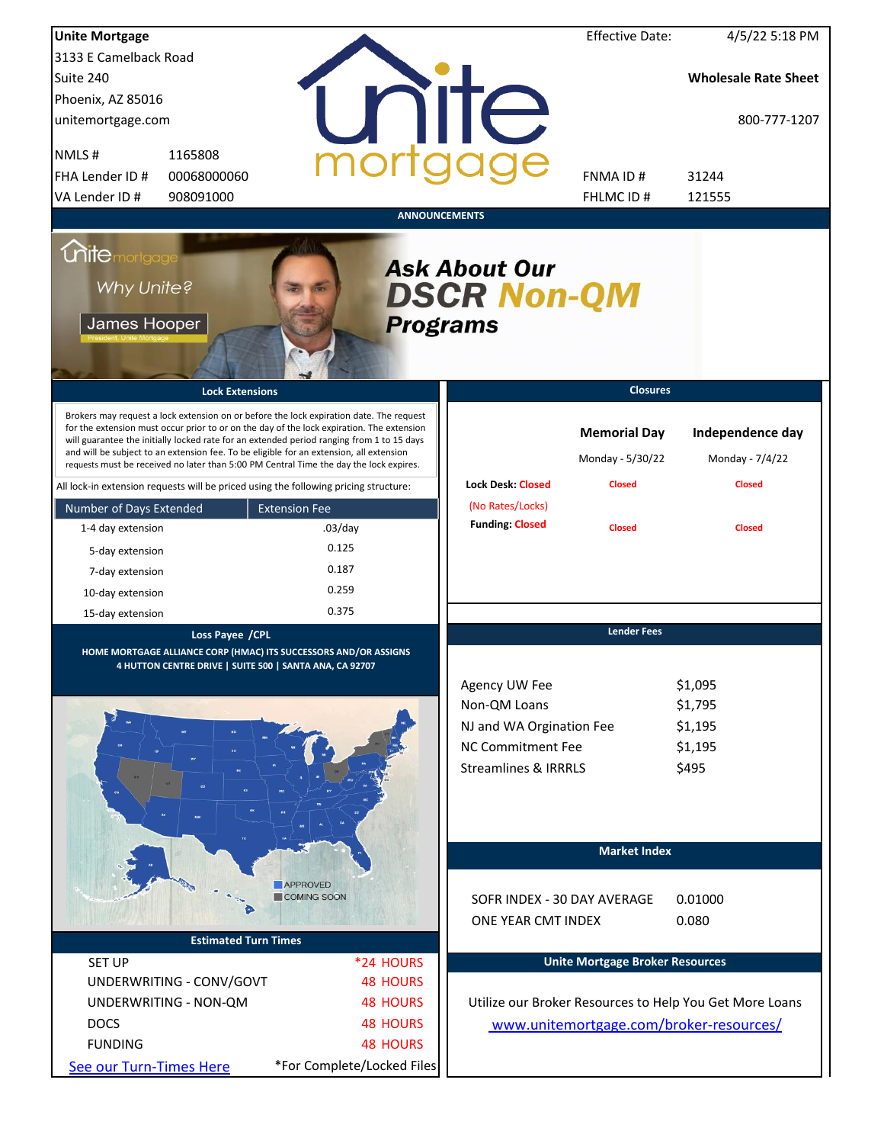| <b>Unite Mortgage</b>                                            |                                                                             |                                                                                                                                                                                                                                                                                                                                                                                                                                                                        |                      |                                                                                                                          | <b>Effective Date:</b>                                   | 4/5/22 5:18 PM                                          |
|------------------------------------------------------------------|-----------------------------------------------------------------------------|------------------------------------------------------------------------------------------------------------------------------------------------------------------------------------------------------------------------------------------------------------------------------------------------------------------------------------------------------------------------------------------------------------------------------------------------------------------------|----------------------|--------------------------------------------------------------------------------------------------------------------------|----------------------------------------------------------|---------------------------------------------------------|
| 3133 E Camelback Road                                            |                                                                             |                                                                                                                                                                                                                                                                                                                                                                                                                                                                        |                      |                                                                                                                          |                                                          |                                                         |
| Suite 240                                                        |                                                                             |                                                                                                                                                                                                                                                                                                                                                                                                                                                                        |                      |                                                                                                                          |                                                          | <b>Wholesale Rate Sheet</b>                             |
| Phoenix, AZ 85016                                                |                                                                             |                                                                                                                                                                                                                                                                                                                                                                                                                                                                        |                      |                                                                                                                          |                                                          |                                                         |
| unitemortgage.com                                                |                                                                             |                                                                                                                                                                                                                                                                                                                                                                                                                                                                        |                      | <b>TITE</b>                                                                                                              |                                                          | 800-777-1207                                            |
| NMLS#                                                            | 1165808                                                                     |                                                                                                                                                                                                                                                                                                                                                                                                                                                                        |                      |                                                                                                                          |                                                          |                                                         |
| FHA Lender ID #                                                  | 00068000060                                                                 |                                                                                                                                                                                                                                                                                                                                                                                                                                                                        |                      |                                                                                                                          | FNMA ID#                                                 | 31244                                                   |
| VA Lender ID #                                                   | 908091000                                                                   |                                                                                                                                                                                                                                                                                                                                                                                                                                                                        |                      |                                                                                                                          | FHLMC ID #                                               | 121555                                                  |
|                                                                  |                                                                             |                                                                                                                                                                                                                                                                                                                                                                                                                                                                        | <b>ANNOUNCEMENTS</b> |                                                                                                                          |                                                          |                                                         |
| <i><u><b>Chitemortgage</b></u></i><br>Why Unite?<br>James Hooper |                                                                             |                                                                                                                                                                                                                                                                                                                                                                                                                                                                        | <b>Programs</b>      | <b>Ask About Our</b><br><b>DSCR Non-QM</b>                                                                               |                                                          |                                                         |
|                                                                  | <b>Lock Extensions</b>                                                      |                                                                                                                                                                                                                                                                                                                                                                                                                                                                        |                      |                                                                                                                          | <b>Closures</b>                                          |                                                         |
|                                                                  |                                                                             | Brokers may request a lock extension on or before the lock expiration date. The request<br>for the extension must occur prior to or on the day of the lock expiration. The extension<br>will guarantee the initially locked rate for an extended period ranging from 1 to 15 days<br>and will be subject to an extension fee. To be eligible for an extension, all extension<br>requests must be received no later than 5:00 PM Central Time the day the lock expires. |                      | <b>Lock Desk: Closed</b>                                                                                                 | <b>Memorial Day</b><br>Monday - 5/30/22<br><b>Closed</b> | Independence day<br>Monday - 7/4/22<br><b>Closed</b>    |
|                                                                  |                                                                             | All lock-in extension requests will be priced using the following pricing structure:                                                                                                                                                                                                                                                                                                                                                                                   |                      | (No Rates/Locks)                                                                                                         |                                                          |                                                         |
| Number of Days Extended                                          |                                                                             | <b>Extension Fee</b>                                                                                                                                                                                                                                                                                                                                                                                                                                                   |                      | <b>Funding: Closed</b>                                                                                                   |                                                          |                                                         |
| 1-4 day extension                                                |                                                                             | $.03$ /day                                                                                                                                                                                                                                                                                                                                                                                                                                                             |                      |                                                                                                                          | <b>Closed</b>                                            | <b>Closed</b>                                           |
| 5-day extension                                                  |                                                                             | 0.125                                                                                                                                                                                                                                                                                                                                                                                                                                                                  |                      |                                                                                                                          |                                                          |                                                         |
| 7-day extension                                                  |                                                                             | 0.187                                                                                                                                                                                                                                                                                                                                                                                                                                                                  |                      |                                                                                                                          |                                                          |                                                         |
| 10-day extension                                                 |                                                                             | 0.259                                                                                                                                                                                                                                                                                                                                                                                                                                                                  |                      |                                                                                                                          |                                                          |                                                         |
| 15-day extension                                                 |                                                                             | 0.375                                                                                                                                                                                                                                                                                                                                                                                                                                                                  |                      |                                                                                                                          |                                                          |                                                         |
|                                                                  | Loss Payee / CPL<br>4 HUTTON CENTRE DRIVE   SUITE 500   SANTA ANA, CA 92707 | HOME MORTGAGE ALLIANCE CORP (HMAC) ITS SUCCESSORS AND/OR ASSIGNS                                                                                                                                                                                                                                                                                                                                                                                                       |                      | Agency UW Fee<br>Non-QM Loans<br>NJ and WA Orgination Fee<br><b>NC Commitment Fee</b><br><b>Streamlines &amp; IRRRLS</b> | <b>Lender Fees</b>                                       | \$1,095<br>\$1,795<br>\$1,195<br>\$1,195<br>\$495       |
|                                                                  |                                                                             |                                                                                                                                                                                                                                                                                                                                                                                                                                                                        |                      |                                                                                                                          | <b>Market Index</b>                                      |                                                         |
|                                                                  |                                                                             | <b>APPROVED</b>                                                                                                                                                                                                                                                                                                                                                                                                                                                        |                      |                                                                                                                          |                                                          |                                                         |
|                                                                  |                                                                             | COMING SOON                                                                                                                                                                                                                                                                                                                                                                                                                                                            |                      | SOFR INDEX - 30 DAY AVERAGE                                                                                              |                                                          | 0.01000                                                 |
|                                                                  |                                                                             |                                                                                                                                                                                                                                                                                                                                                                                                                                                                        |                      | ONE YEAR CMT INDEX                                                                                                       |                                                          | 0.080                                                   |
|                                                                  | <b>Estimated Turn Times</b>                                                 |                                                                                                                                                                                                                                                                                                                                                                                                                                                                        |                      |                                                                                                                          |                                                          |                                                         |
| <b>SET UP</b>                                                    |                                                                             | *24 HOURS                                                                                                                                                                                                                                                                                                                                                                                                                                                              |                      |                                                                                                                          | <b>Unite Mortgage Broker Resources</b>                   |                                                         |
|                                                                  | UNDERWRITING - CONV/GOVT                                                    | <b>48 HOURS</b>                                                                                                                                                                                                                                                                                                                                                                                                                                                        |                      |                                                                                                                          |                                                          |                                                         |
|                                                                  | UNDERWRITING - NON-QM                                                       | <b>48 HOURS</b>                                                                                                                                                                                                                                                                                                                                                                                                                                                        |                      |                                                                                                                          |                                                          | Utilize our Broker Resources to Help You Get More Loans |
| <b>DOCS</b>                                                      |                                                                             | <b>48 HOURS</b>                                                                                                                                                                                                                                                                                                                                                                                                                                                        |                      |                                                                                                                          |                                                          | www.unitemortgage.com/broker-resources/                 |
| <b>FUNDING</b>                                                   |                                                                             | <b>48 HOURS</b>                                                                                                                                                                                                                                                                                                                                                                                                                                                        |                      |                                                                                                                          |                                                          |                                                         |
| See our Turn-Times Here                                          |                                                                             | *For Complete/Locked Files                                                                                                                                                                                                                                                                                                                                                                                                                                             |                      |                                                                                                                          |                                                          |                                                         |
|                                                                  |                                                                             |                                                                                                                                                                                                                                                                                                                                                                                                                                                                        |                      |                                                                                                                          |                                                          |                                                         |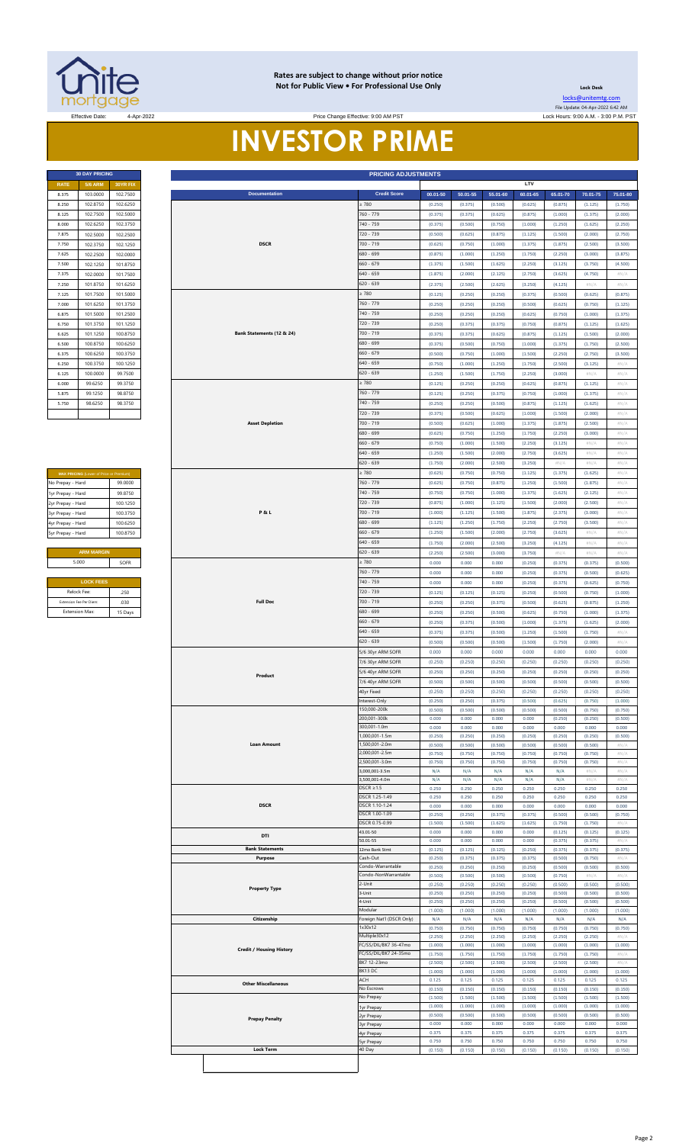

### **Rates are subject to change without prior notice Not for Public View • For Professional Use Only**

Price Change Effective: 9:00 AM PST

**Lock Desk** [locks@unitemtg](mailto:locks@unitemtg.com).com File Update: 04-Apr-2022 6:42 AM

# **INVESTOR PRIME**

|             | <b>30 DAY PRICING</b> |                 |
|-------------|-----------------------|-----------------|
| <b>RATE</b> | <b>5/6 ARM</b>        | <b>30YR FIX</b> |
| 8.375       | 103.0000              | 102.7500        |
| 8.250       | 1028750               | 102 6250        |
| 8.125       | 102.7500              | 102.5000        |
| 8.000       | 102.6250              | 102.3750        |
| 7.875       | 102.5000              | 102.2500        |
| 7.750       | 102.3750              | 102.1250        |
| 7.625       | 102.2500              | 102.0000        |
| 7.500       | 102.1250              | 101.8750        |
| 7.375       | 102.0000              | 101.7500        |
| 7.250       | 101.8750              | 101.6250        |
| 7.125       | 101.7500              | 101.5000        |
| 7.000       | 101.6250              | 101.3750        |
| 6.875       | 101.5000              | 101.2500        |
| 6.750       | 101.3750              | 101.1250        |
| 6.625       | 101.1250              | 100.8750        |
| 6.500       | 100.8750              | 100.6250        |
| 6.375       | 100.6250              | 100.3750        |
| 6.250       | 100.3750              | 100.1250        |
| 6.125       | 100.0000              | 99.7500         |
| 6.000       | 99.6250               | 99.3750         |
| 5.875       | 99.1250               | 98.8750         |
| 5.750       | 986250                | 98 3750         |
|             |                       |                 |

| <b>MAX PRICING (Lower of Price or Premium)</b> |          |
|------------------------------------------------|----------|
| No Prepay - Hard                               | 99.0000  |
| 1yr Prepay - Hard                              | 998750   |
| 2yr Prepay - Hard                              | 100 1250 |
| 3yr Prepay - Hard                              | 100 3750 |
| 4yr Prepay - Hard                              | 100.6250 |
| 5yr Prepay - Hard                              | 100.8750 |
|                                                |          |
| <b>ARM MARGIN</b>                              |          |
| 5.000                                          | SOFR     |
|                                                |          |
| <b>LOCK FEES</b>                               |          |
| Relock Fee:                                    | 250      |
| Extension Foo Dor Diago:                       | 0.20     |

|                                                | <b>30 DAY PRICING</b>                   |                      | <b>PRICING ADJUSTMENTS</b> |                                 |                                        |                    |                    |                    |                    |                    |                    |                                                                         |
|------------------------------------------------|-----------------------------------------|----------------------|----------------------------|---------------------------------|----------------------------------------|--------------------|--------------------|--------------------|--------------------|--------------------|--------------------|-------------------------------------------------------------------------|
| <b>RATE</b><br>8.375                           | <b>5/6 ARM</b><br>103.0000              | 30YR FIX<br>102.7500 |                            | <b>Documentation</b>            | <b>Credit Score</b>                    | $00.01 - 50$       | $50.01 - 55$       | 55.01-60           | LTV<br>60.01-65    | 65.01-70           | 70.01-75           | 75.01-80                                                                |
| 8.250                                          | 102.8750                                | 102.6250             |                            |                                 | 2780                                   | (0.250)            | (0.375)            | (0.500)            | (0.625)            | (0.875)            | (1.125)            | (1.750)                                                                 |
| 8.125                                          | 102.7500                                | 102.5000             |                            |                                 | 760 - 779                              | (0.375)            | (0.375)            | (0.625)            | (0.875)            | (1.000)            | (1.375)            | (2.000)                                                                 |
| 8.000<br>7.875                                 | 102.6250<br>102.5000                    | 102.3750<br>102.2500 |                            |                                 | 740 - 759<br>720 - 739                 | (0.375)<br>(0.500) | (0.500)<br>(0.625) | (0.750)<br>(0.875) | (1.000)<br>(1.125) | (1.250)<br>(1.500) | (1.625)<br>(2.000) | (2.250)<br>(2.750)                                                      |
| 7.750                                          | 102.3750                                | 102.1250             |                            | <b>DSCR</b>                     | 700 - 719                              | (0.625)            | (0.750)            | (1.000)            | (1.375)            | (1.875)            | (2.500)            | (3.500)                                                                 |
| 7.625                                          | 102.2500                                | 102.0000             |                            |                                 | 680 - 699                              | (0.875)            | (1.000)            | (1.250)            | (1.750)            | (2.250)            | (3.000)            | (3.875)                                                                 |
| 7.500                                          | 102.1250                                | 101.8750             |                            |                                 | $660 - 679$                            | (1.375)            | (1.500)            | (1.625)            | (2.250)            | (3.125)            | (3.750)            | (4.500)                                                                 |
| 7.375<br>7.250                                 | 102.0000<br>101.8750                    | 101.7500<br>101.6250 |                            |                                 | 640 - 659<br>$620 - 639$               | (1.875)<br>(2.375) | (2.000)<br>(2.500) | (2.125)<br>(2.625) | (2.750)<br>(3.250) | (3.625)<br>(4.125) | (4.750)<br>$\#N/A$ | #N/A<br>$\#N/A$                                                         |
| 7.125                                          | 101.7500                                | 101.5000             |                            |                                 | : 780                                  | (0.125)            | (0.250)            | (0.250)            | (0.375)            | (0.500)            | (0.625)            | (0.875)                                                                 |
| 7.000                                          | 101.6250                                | 101.3750             |                            |                                 | 760 - 779                              | (0.250)            | (0.250)            | (0.250)            | (0.500)            | (0.625)            | (0.750)            | (1.125)                                                                 |
| 6.875                                          | 101.5000                                | 101.2500             |                            |                                 | 740 - 759                              | (0.250)            | (0.250)            | (0.250)            | (0.625)            | (0.750)            | (1.000)            | (1.375)                                                                 |
| 6.750<br>6.625                                 | 101.3750<br>101.1250                    | 101.1250<br>100.8750 |                            | Bank Statements (12 & 24)       | 720 - 739<br>700 - 719                 | (0.250)<br>(0.375) | (0.375)<br>(0.375) | (0.375)<br>(0.625) | (0.750)<br>(0.875) | (0.875)<br>(1.125) | (1.125)<br>(1.500) | (1.625)<br>(2.000)                                                      |
| 6.500                                          | 100.8750                                | 100.6250             |                            |                                 | 680 - 699                              | (0.375)            | (0.500)            | (0.750)            | (1.000)            | (1.375)            | (1.750)            | (2.500)                                                                 |
| 6.375                                          | 100.6250                                | 100.3750             |                            |                                 | $660 - 679$                            | (0.500)            | (0.750)            | (1.000)            | (1.500)            | (2.250)            | (2.750)            | (3.500)                                                                 |
| 6.250                                          | 100.3750                                | 100.1250             |                            |                                 | $640 - 659$                            | (0.750)            | (1.000)            | (1.250)            | (1.750)            | (2.500)            | (3.125)            | #N//                                                                    |
| 6.125<br>6.000                                 | 100.0000<br>99.6250                     | 99.7500<br>99.3750   |                            |                                 | $620 - 639$<br>$\geq 780$              | (1.250)<br>(0.125) | (1.500)<br>(0.250) | (1.750)<br>(0.250) | (2.250)<br>(0.625) | (3.000)<br>(0.875) | #N/A<br>(1.125)    | $\#N/A$<br>$\# \mathbb{N}/\mathbb{A}$                                   |
| 5.875                                          | 99.1250                                 | 98.8750              |                            |                                 | 760 - 779                              | (0.125)            | (0.250)            | (0.375)            | (0.750)            | (1.000)            | (1.375)            | $\#N/A$                                                                 |
| 5.750                                          | 98.6250                                 | 98.3750              |                            |                                 | 740 - 759                              | (0.250)            | (0.250)            | (0.500)            | (0.875)            | (1.125)            | (1.625)            | #N/A                                                                    |
|                                                |                                         |                      |                            |                                 | 720 - 739                              | (0.375)            | (0.500)            | (0.625)            | (1.000)            | (1.500)            | (2.000)            | $\#N/A$                                                                 |
|                                                |                                         |                      |                            | <b>Asset Depletion</b>          | 700 - 719                              | (0.500)            | (0.625)            | (1.000)            | (1.375)            | (1.875)            | (2.500)            | $\#N/A$                                                                 |
|                                                |                                         |                      |                            |                                 | 680 - 699<br>$660 - 679$               | (0.625)<br>(0.750) | (0.750)<br>(1.000) | (1.250)<br>(1.500) | (1.750)<br>(2.250) | (2.250)<br>(3.125) | (3.000)<br>#N/A    | $\#N/A$<br>$\# \mathbb{N}/\mathbb{A}$                                   |
|                                                |                                         |                      |                            |                                 | $640 - 659$                            | (1.250)            | (1.500)            | (2.000)            | (2.750)            | (3.625)            | #N/A               | #N/ $\rho$                                                              |
|                                                |                                         |                      |                            |                                 | 620 - 639                              | (1.750)            | (2.000)            | (2.500)            | (3.250)            | #N/A               | #N/A               | #N/A                                                                    |
|                                                | MAX PRICING (Lower of Price or Premium) |                      |                            |                                 | 2780                                   | (0.625)            | (0.750)            | (0.750)            | (1.125)            | (1.375)            | (1.625)            | #N/A                                                                    |
| No Prepay - Hard                               |                                         | 99.0000<br>99.8750   |                            |                                 | 760 - 779<br>740 - 759                 | (0.625)            | (0.750)            | (0.875)            | (1.250)            | (1.500)            | (1.875)            | #N/ $\rho$<br>#N/A                                                      |
| 1yr Prepay - Hard<br>2yr Prepay - Hard         |                                         | 100.1250             |                            |                                 | 720 - 739                              | (0.750)<br>(0.875) | (0.750)<br>(1.000) | (1.000)<br>(1.125) | (1.375)<br>(1.500) | (1.625)<br>(2.000) | (2.125)<br>(2.500) | $\#N/A$                                                                 |
| 3yr Prepay - Hard                              |                                         | 100.3750             |                            | <b>P&amp;L</b>                  | 700 - 719                              | (1.000)            | (1.125)            | (1.500)            | (1.875)            | (2.375)            | (3.000)            | #N/A                                                                    |
| 4yr Prepay - Hard                              |                                         | 100.6250             |                            |                                 | 680 - 699                              | (1.125)            | (1.250)            | (1.750)            | (2.250)            | (2.750)            | (3.500)            | #N/A                                                                    |
| 5yr Prepay - Hard                              |                                         | 100.8750             |                            |                                 | $660 - 679$                            | (1.250)            | (1.500)            | (2.000)            | (2.750)            | (3.625)            | #N/A               | #N/A                                                                    |
|                                                | <b>ARM MARGIN</b>                       |                      |                            |                                 | 540 - 659<br>$620 - 639$               | (1.750)<br>(2.250) | (2.000)<br>(2.500) | (2.500)<br>(3.000) | (3.250)<br>(3.750) | (4.125)<br>$\#N/A$ | #N//<br>#N/A       | #N/ $\rho$<br>$\#N/A$                                                   |
| 5.000                                          |                                         | SOFR                 |                            |                                 | $\geq 780$                             | 0.000              | 0.000              | 0.000              | (0.250)            | (0.375)            | (0.375)            | (0.500)                                                                 |
|                                                |                                         |                      |                            |                                 | 760 - 779                              | 0.000              | 0.000              | 0.000              | (0.250)            | (0.375)            | (0.500)            | (0.625)                                                                 |
|                                                | <b>LOCK FEES</b>                        |                      |                            |                                 | 740 - 759                              | 0.000              | 0.000              | 0.000              | (0.250)            | (0.375)            | (0.625)            | (0.750)                                                                 |
| Relock Fee:                                    |                                         | .250                 |                            |                                 | 720 - 739                              | (0.125)            | (0.125)            | (0.125)            | (0.250)            | (0.500)            | (0.750)            | (1.000)                                                                 |
| Extension Fee Per Diem<br><b>Extension Max</b> |                                         | .030<br>15 Days      |                            | <b>Full Doc</b>                 | 700 - 719<br>680 - 699                 | (0.250)<br>(0.250) | (0.250)<br>(0.250) | (0.375)<br>(0.500) | (0.500)<br>(0.625) | (0.625)<br>(0.750) | (0.875)<br>(1.000) | (1.250)<br>(1.375)                                                      |
|                                                |                                         |                      |                            |                                 | $660 - 679$                            | (0.250)            | (0.375)            | (0.500)            | (1.000)            | (1.375)            | (1.625)            | (2.000)                                                                 |
|                                                |                                         |                      |                            |                                 | $640 - 659$                            | (0.375)            | (0.375)            | (0.500)            | (1.250)            | (1.500)            | (1.750)            | $\#N/A$                                                                 |
|                                                |                                         |                      |                            |                                 | 620 - 639                              | (0.500)            | (0.500)            | (0.500)            | (1.500)            | (1.750)            | (2.000)            | #N/A                                                                    |
|                                                |                                         |                      |                            |                                 | 5/6 30yr ARM SOFR<br>7/6 30yr ARM SOFR | 0.000<br>(0.250)   | 0.000<br>(0.250)   | 0.000<br>(0.250)   | 0.000<br>(0.250)   | 0.000<br>(0.250)   | 0.000<br>(0.250)   | 0.000<br>(0.250)                                                        |
|                                                |                                         |                      |                            |                                 | 5/6 40yr ARM SOFR                      | (0.250)            | (0.250)            | (0.250)            | (0.250)            | (0.250)            | (0.250)            | (0.250)                                                                 |
|                                                |                                         |                      |                            | Product                         | 7/6 40yr ARM SOFR                      | (0.500)            | (0.500)            | (0.500)            | (0.500)            | (0.500)            | (0.500)            | (0.500)                                                                 |
|                                                |                                         |                      |                            |                                 | 40yr Fixed                             | (0.250)            | (0.250)            | (0.250)            | (0.250)            | (0.250)            | (0.250)            | (0.250)                                                                 |
|                                                |                                         |                      |                            |                                 | Interest-Only<br>50,000-200k           | (0.250)<br>(0.500) | (0.250)<br>(0.500) | (0.375)<br>(0.500) | (0.500)<br>(0.500) | (0.625)<br>(0.500) | (0.750)<br>(0.750) | (1.000)<br>(0.750)                                                      |
|                                                |                                         |                      |                            |                                 | 200,001-300k                           | 0.000              | 0.000              | 0.000              | 0.000              | (0.250)            | (0.250)            | (0.500)                                                                 |
|                                                |                                         |                      |                            |                                 | 300,001-1.0m<br>,000,001-1.5m          | 0.000              | 0.000              | 0.000              | 0.000              | 0.000              | 0.000              | 0.000                                                                   |
|                                                |                                         |                      |                            | <b>Loan Amount</b>              | 1,500,001-2.0m                         | (0.250)<br>(0.500) | (0.250)<br>(0.500) | (0.250)<br>(0.500) | (0.250)<br>(0.500) | (0.250)<br>(0.500) | (0.250)<br>(0.500) | (0.500)<br>#N//                                                         |
|                                                |                                         |                      |                            |                                 | 000,001-2.5m                           | (0.750)            | (0.750)            | (0.750)            | (0.750)            | (0.750)            | (0.750)            | #N/ $\rho$                                                              |
|                                                |                                         |                      |                            |                                 | 2,500,001-3.0m<br>000,001-3.5m         | (0.750)<br>N/A     | (0.750)<br>N/A     | (0.750)<br>N/A     | (0.750)<br>N/A     | (0.750)<br>N/A     | (0.750)<br>#N/A    | #N/A<br>#N/A                                                            |
|                                                |                                         |                      |                            |                                 | ,500,001-4.0m                          | N/A                | N/A                | N/A                | N/A                | N/A                | #N/                | #N/                                                                     |
|                                                |                                         |                      |                            |                                 | $DSCR \geq 1.5$                        | 0.250              | 0.250              | 0.250              | 0.250              | 0.250              | 0.250              | 0.250                                                                   |
|                                                |                                         |                      |                            | <b>DSCR</b>                     | DSCR 1.25-1.49<br>DSCR 1.10-1.24       | 0.250<br>0.000     | 0.250<br>0.000     | 0.250<br>0.000     | 0.250<br>0.000     | 0.250<br>0.000     | 0.250<br>0.000     | 0.250<br>0.000                                                          |
|                                                |                                         |                      |                            |                                 | DSCR 1.00-1.09                         | (0.250)            | (0.250)            | (0.375)            | (0.375)            | (0.500)            | (0.500)            | (0.750)                                                                 |
|                                                |                                         |                      |                            |                                 | DSCR 0.75-0.99<br>43.01-50             | (1.500)<br>0.000   | (1.500)<br>0.000   | (1.625)<br>0.000   | (1.625)<br>0.000   | (1.750)<br>(0.125) | (1.750)<br>(0.125) | #N/<br>(0.125)                                                          |
|                                                |                                         |                      |                            | DTI                             | 50.01-55                               | 0.000              | 0.000              | 0.000              | 0.000              | (0.375)            | (0.375)            | #N//                                                                    |
|                                                |                                         |                      |                            | <b>Bank Statements</b>          | 2mo Bank Stmt                          | (0.125)            | (0.125)            | (0.125)            | (0.250)            | (0.375)            | (0.375)            | (0.375)                                                                 |
|                                                |                                         |                      |                            | Purpose                         | Cash-Out<br>Condo-Warrantable          | (0.250)<br>(0.250) | (0.375)<br>(0.250) | (0.375)<br>(0.250) | (0.375)<br>(0.250) | (0.500)<br>(0.500) | (0.750)<br>(0.500) | #N//<br>(0.500)                                                         |
|                                                |                                         |                      |                            |                                 | Condo-NonWarrantable                   | (0.500)            | (0.500)            | (0.500)            | (0.500)            | (0.750)            | #N//               | #N//                                                                    |
|                                                |                                         |                      |                            | <b>Property Type</b>            | 2-Unit<br>3-Unit                       | (0.250)<br>(0.250) | (0.250)<br>(0.250) | (0.250)<br>(0.250) | (0.250)<br>(0.250) | (0.500)<br>(0.500) | (0.500)<br>(0.500) | (0.500)<br>(0.500)                                                      |
|                                                |                                         |                      |                            |                                 | 4-Unit                                 | (0.250)            | (0.250)            | (0.250)            | (0.250)            | (0.500)            | (0.500)            | (0.500)                                                                 |
|                                                |                                         |                      |                            |                                 | Modular                                | (1.000)            | (1.000)            | (1.000)            | (1.000)            | (1.000)            | (1.000)            | (1.000)                                                                 |
|                                                |                                         |                      |                            | Citizenship                     | Foreign Nat'l (DSCR Only)<br>1x30x12   | N/A<br>(0.750)     | N/A<br>(0.750)     | N/A<br>(0.750)     | N/A<br>(0.750)     | N/A<br>(0.750)     | N/A<br>(0.750)     | N/A<br>(0.750)                                                          |
|                                                |                                         |                      |                            |                                 | Multiple30x12<br>FC/SS/DIL/BK7 36-47mo | (2.250)            | (2.250)            | (2.250)            | (2.250)            | (2.250)            | (2.250)            | #N/)                                                                    |
|                                                |                                         |                      |                            | <b>Credit / Housing History</b> |                                        | (1.000)            | (1.000)            | (1.000)            | (1.000)            | (1.000)            | (1.000)<br>(1.750) | (1.000)                                                                 |
|                                                |                                         |                      |                            |                                 | FC/SS/DIL/BK7 24-35mo                  | (1.750)            | (1.750)            | (1.750)            | (1.750)            | (1.750)            |                    | #N/A                                                                    |
|                                                |                                         |                      |                            |                                 | BK7 12-23mo                            | (2.500)            | (2.500)            | (2.500)            | (2.500)            | (2.500)            | (2.500)            | #N/                                                                     |
|                                                |                                         |                      |                            |                                 | BK13 DC                                | (1.000)            | (1.000)            | (1.000)            | (1.000)            | (1.000)            | (1.000)            |                                                                         |
|                                                |                                         |                      |                            | <b>Other Miscellaneous</b>      | ACH<br>No Escrows                      | 0.125              | 0.125              | 0.125              | 0.125              | 0.125              | 0.125              |                                                                         |
|                                                |                                         |                      |                            |                                 | No Prepay                              | (0.150)<br>(1.500) | (0.150)<br>(1.500) | (0.150)<br>(1.500) | (0.150)<br>(1.500) | (0.150)<br>(1.500) | (0.150)<br>(1.500) |                                                                         |
|                                                |                                         |                      |                            |                                 | lyr Prepay                             | (1.000)            | (1.000)            | (1.000)            | (1.000)            | (1.000)            | (1.000)            |                                                                         |
|                                                |                                         |                      |                            | <b>Prepay Penalty</b>           | 2yr Prepay<br>yr Prepay                | (0.500)<br>0.000   | (0.500)<br>0.000   | (0.500)<br>0.000   | (0.500)<br>0.000   | (0.500)<br>0.000   | (0.500)<br>0.000   | 0.000                                                                   |
|                                                |                                         |                      |                            |                                 | 4yr Prepay                             | 0.375              | 0.375              | 0.375              | 0.375              | 0.375              | 0.375              | 0.125<br>0.375                                                          |
|                                                |                                         |                      |                            | <b>Lock Term</b>                | Syr Prepay<br>40 Day                   | 0.750<br>(0.150)   | 0.750<br>(0.150)   | 0.750<br>(0.150)   | 0.750<br>(0.150)   | 0.750<br>(0.150)   | 0.750<br>(0.150)   | (1.000)<br>(0.150)<br>(1.500)<br>(1.000)<br>(0.500)<br>0.750<br>(0.150) |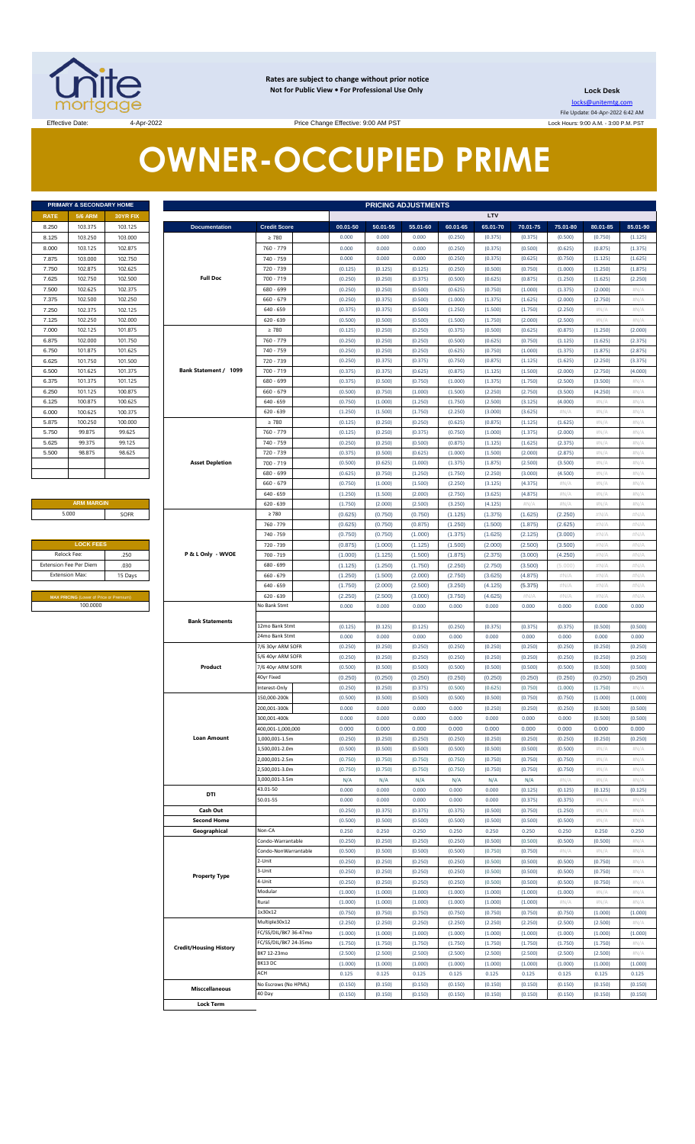

**Rates are subject to change without prior notice Not for Public View • For Professional Use Only** 

**Lock Desk**

locks@unitemtg.com File Update: 04-Apr-2022 6:42 AM Lock Hours: 9:00 A.M. - 3:00 P.M. PST

Effective Date: 4-Apr-2022 4-Apr-2022 Price Change Effective: 9:00 AM PST

# **OWNER-OCCUPIED PRIME**

| PRIMARY & SECONDARY HOME |                |                 |  |  |  |  |  |  |  |  |
|--------------------------|----------------|-----------------|--|--|--|--|--|--|--|--|
| <b>RATE</b>              | <b>5/6 ARM</b> | <b>30YR FIX</b> |  |  |  |  |  |  |  |  |
| 8.250                    | 103.375        | 103.125         |  |  |  |  |  |  |  |  |
| 8.125                    | 103.250        | 103.000         |  |  |  |  |  |  |  |  |
| 8.000                    | 103.125        | 102.875         |  |  |  |  |  |  |  |  |
| 7.875                    | 103.000        | 102.750         |  |  |  |  |  |  |  |  |
| 7.750                    | 102.875        | 102.625         |  |  |  |  |  |  |  |  |
| 7.625                    | 102.750        | 102.500         |  |  |  |  |  |  |  |  |
| 7.500                    | 102.625        | 102 375         |  |  |  |  |  |  |  |  |
| 7.375                    | 102.500        | 102.250         |  |  |  |  |  |  |  |  |
| 7.250                    | 102.375        | 102.125         |  |  |  |  |  |  |  |  |
| 7.125                    | 102.250        | 102.000         |  |  |  |  |  |  |  |  |
| 7.000                    | 102.125        | 101.875         |  |  |  |  |  |  |  |  |
| 6.875                    | 102.000        | 101.750         |  |  |  |  |  |  |  |  |
| 6.750                    | 101.875        | 101.625         |  |  |  |  |  |  |  |  |
| 6.625                    | 101.750        | 101.500         |  |  |  |  |  |  |  |  |
| 6.500                    | 101.625        | 101.375         |  |  |  |  |  |  |  |  |
| 6.375                    | 101.375        | 101.125         |  |  |  |  |  |  |  |  |
| 6.250                    | 101.125        | 100.875         |  |  |  |  |  |  |  |  |
| 6.125                    | 100.875        | 100.625         |  |  |  |  |  |  |  |  |
| 6.000                    | 100.625        | 100.375         |  |  |  |  |  |  |  |  |
| 5.875                    | 100.250        | 100.000         |  |  |  |  |  |  |  |  |
| 5.750                    | 99.875         | 99.625          |  |  |  |  |  |  |  |  |
| 5.625                    | 99.375         | 99.125          |  |  |  |  |  |  |  |  |
| 5.500                    | 98.875         | 98.625          |  |  |  |  |  |  |  |  |
|                          |                |                 |  |  |  |  |  |  |  |  |
|                          |                |                 |  |  |  |  |  |  |  |  |

**ARM MARGIN** 5.000

| Relock Fee:                   | .250    |
|-------------------------------|---------|
|                               |         |
| <b>Extension Fee Per Diem</b> | .030    |
| <b>Extension Max:</b>         | 15 Days |

|       | PRIMARY & SECONDARY HOME                |          | <b>PRICING ADJUSTMENTS</b>    |                       |          |          |          |          |          |          |          |                |                |  |
|-------|-----------------------------------------|----------|-------------------------------|-----------------------|----------|----------|----------|----------|----------|----------|----------|----------------|----------------|--|
| RATE  | <b>5/6 ARM</b>                          | 30YR FIX |                               |                       |          |          |          |          | LTV      |          |          |                |                |  |
| 8.250 | 103.375                                 | 103.125  | <b>Documentation</b>          | <b>Credit Score</b>   | 00.01-50 | 50.01-55 | 55.01-60 | 60.01-65 | 65.01-70 | 70.01-75 | 75.01-80 | 80.01-85       | 85.01-90       |  |
| 8.125 | 103.250                                 | 103.000  |                               | $\geq 780$            | 0.000    | 0.000    | 0.000    | (0.250)  | (0.375)  | (0.375)  | (0.500)  | (0.750)        | (1.125)        |  |
| 8.000 | 103.125                                 | 102.875  |                               | 760 - 779             | 0.000    | 0.000    | 0.000    | (0.250)  | (0.375)  | (0.500)  | (0.625)  | (0.875)        | (1.375)        |  |
| 7.875 | 103.000                                 | 102.750  |                               | 740 - 759             | 0.000    | 0.000    | 0.000    | (0.250)  | (0.375)  | (0.625)  | (0.750)  | (1.125)        | (1.625)        |  |
| 7.750 | 102.875                                 | 102.625  |                               | 720 - 739             | (0.125)  | (0.125)  | (0.125)  | (0.250)  | (0.500)  | (0.750)  | (1.000)  | (1.250)        | (1.875)        |  |
| 7.625 | 102.750                                 | 102.500  | <b>Full Doc</b>               | 700 - 719             | (0.250)  | (0.250)  | (0.375)  | (0.500)  | (0.625)  | (0.875)  | (1.250)  | (1.625)        | (2.250)        |  |
| 7.500 | 102.625                                 | 102.375  |                               | 680 - 699             | (0.250)  | (0.250)  | (0.500)  | (0.625)  | (0.750)  | (1.000)  | (1.375)  | (2.000)        | $\#N/\beta$    |  |
| 7.375 | 102.500                                 | 102.250  |                               | $660 - 679$           | (0.250)  | (0.375)  | (0.500)  | (1.000)  | (1.375)  | (1.625)  | (2.000)  | (2.750)        | #N/A           |  |
| 7.250 | 102.375                                 | 102.125  |                               | $640 - 659$           | (0.375)  | (0.375)  | (0.500)  | (1.250)  | (1.500)  | (1.750)  | (2.250)  | $\#N/\ell$     | #N/A           |  |
| 7.125 | 102.250                                 | 102.000  |                               | $620 - 639$           | (0.500)  | (0.500)  | (0.500)  | (1.500)  | (1.750)  | (2.000)  | (2.500)  | H N/A          | #N/A           |  |
| 7.000 | 102.125                                 | 101.875  |                               | $\geq 780$            | (0.125)  | (0.250)  | (0.250)  | (0.375)  | (0.500)  | (0.625)  | (0.875)  | (1.250)        | (2.000)        |  |
| 6.875 | 102.000                                 | 101.750  |                               | 760 - 779             | (0.250)  | (0.250)  | (0.250)  | (0.500)  | (0.625)  | (0.750)  | (1.125)  | (1.625)        | (2.375)        |  |
| 6.750 | 101.875                                 | 101.625  |                               | 740 - 759             | (0.250)  | (0.250)  | (0.250)  | (0.625)  | (0.750)  | (1.000)  | (1.375)  | (1.875)        | (2.875)        |  |
| 6.625 | 101.750                                 | 101.500  |                               | 720 - 739             | (0.250)  | (0.375)  | (0.375)  | (0.750)  | (0.875)  | (1.125)  | (1.625)  | (2.250)        | (3.375)        |  |
| 6.500 | 101.625                                 | 101.375  | Bank Statement / 1099         | 700 - 719             | (0.375)  | (0.375)  | (0.625)  | (0.875)  | (1.125)  | (1.500)  | (2.000)  | (2.750)        | (4.000)        |  |
| 6.375 | 101.375                                 | 101.125  |                               | 680 - 699             | (0.375)  | (0.500)  | (0.750)  | (1.000)  | (1.375)  | (1.750)  | (2.500)  | (3.500)        | #N/A           |  |
| 6.250 | 101.125                                 | 100.875  |                               | $660 - 679$           | (0.500)  | (0.750)  | (1.000)  | (1.500)  | (2.250)  | (2.750)  | (3.500)  | (4.250)        | $\#N/\beta$    |  |
| 6.125 | 100.875                                 | 100.625  |                               | $640 - 659$           | (0.750)  | (1.000)  | (1.250)  | (1.750)  | (2.500)  | (3.125)  | (4.000)  | $\#N/\ell$     | #N/A           |  |
| 6.000 | 100.625                                 | 100.375  |                               | $620 - 639$           | (1.250)  | (1.500)  | (1.750)  | (2.250)  | (3.000)  | (3.625)  | H N/A    | $\#N/\Lambda$  | $\#N/\beta$    |  |
| 5.875 | 100.250                                 | 100.000  |                               | $\geq 780$            | (0.125)  | (0.250)  | (0.250)  | (0.625)  | (0.875)  | (1.125)  | (1.625)  | $\#N/\ell$     | #N/A           |  |
| 5.750 | 99.875                                  | 99.625   |                               | 760 - 779             | (0.125)  | (0.250)  | (0.375)  | (0.750)  | (1.000)  | (1.375)  | (2.000)  | $\#N/\Lambda$  | $\#N/\beta$    |  |
| 5.625 | 99.375                                  | 99.125   |                               | 740 - 759             | (0.250)  | (0.250)  | (0.500)  | (0.875)  | (1.125)  | (1.625)  | (2.375)  | $\#N/\ell$     | #N/A           |  |
| 5.500 | 98.875                                  | 98.625   |                               | 720 - 739             | (0.375)  | (0.500)  | (0.625)  | (1.000)  | (1.500)  | (2.000)  | (2.875)  | $\#N$ / $\neq$ | $\#N$ / $\neq$ |  |
|       |                                         |          | <b>Asset Depletion</b>        | $700 - 719$           | (0.500)  | (0.625)  | (1.000)  | (1.375)  | (1.875)  | (2.500)  | (3.500)  | $\#N/\ell$     | #N/A           |  |
|       |                                         |          |                               | $680 - 699$           | (0.625)  | (0.750)  | (1.250)  | (1.750)  | (2.250)  | (3.000)  | (4.500)  | $\#N/\Lambda$  | $\#N/\beta$    |  |
|       |                                         |          |                               | $660 - 679$           | (0.750)  | (1.000)  | (1.500)  | (2.250)  | (3.125)  | (4.375)  | #N/A     | $\#N/\ell$     | #N/A           |  |
|       |                                         |          |                               | $640 - 659$           | (1.250)  | (1.500)  | (2.000)  | (2.750)  | (3.625)  | (4.875)  | H N/A    | $\#N/\Lambda$  | #N/A           |  |
|       | <b>ARM MARGIN</b>                       |          |                               | $620 - 639$           | (1.750)  | (2.000)  | (2.500)  | (3.250)  | (4.125)  | $\#N/A$  | #N/A     | $\#N/A$        | #N/A           |  |
|       | 5.000                                   | SOFR     |                               | $\geq 780$            | (0.625)  | (0.750)  | (0.750)  | (1.125)  | (1.375)  | (1.625)  | (2.250)  | #N/A           | #N/A           |  |
|       |                                         |          |                               | 760 - 779             | (0.625)  | (0.750)  | (0.875)  | (1.250)  | (1.500)  | (1.875)  | (2.625)  | #N/A           | #N/A           |  |
|       |                                         |          |                               | 740 - 759             | (0.750)  | (0.750)  | (1.000)  | (1.375)  | (1.625)  | (2.125)  | (3.000)  | #N/A           | #N/A           |  |
|       | <b>LOCK FEES</b>                        |          |                               | 720 - 739             | (0.875)  | (1.000)  | (1.125)  | (1.500)  | (2.000)  | (2.500)  | (3.500)  | #N/A           | #N/A           |  |
|       | Relock Fee:                             | .250     | P & L Only - WVOE             | 700 - 719             | (1.000)  | (1.125)  | (1.500)  | (1.875)  | (2.375)  | (3.000)  | (4.250)  | #N/A           | #N/A           |  |
|       | xtension Fee Per Diem                   | .030     |                               | 680 - 699             | (1.125)  | (1.250)  | (1.750)  | (2.250)  | (2.750)  | (3.500)  | (5.000)  | #N/A           | #N/A           |  |
|       | <b>Extension Max:</b>                   | 15 Days  |                               | $660 - 679$           | (1.250)  | (1.500)  | (2.000)  | (2.750)  | (3.625)  | (4.875)  | #N/A     | #N/A           | #N/A           |  |
|       |                                         |          |                               | $640 - 659$           | (1.750)  | (2.000)  | (2.500)  | (3.250)  | (4.125)  | (5.375)  | #N/A     | #N/A           | #N/A           |  |
|       | MAX PRICING (Lower of Price or Premium) |          |                               | $620 - 639$           | (2.250)  | (2.500)  | (3.000)  | (3.750)  | (4.625)  | #N/A     | #N/A     | #N/A           | #N/A           |  |
|       | 100.0000                                |          |                               | No Bank Stmt          | 0.000    | 0.000    | 0.000    | 0.000    | 0.000    | 0.000    | 0.000    | 0.000          | 0.000          |  |
|       |                                         |          |                               |                       |          |          |          |          |          |          |          |                |                |  |
|       |                                         |          | <b>Bank Statements</b>        | 12mo Bank Stmt        | (0.125)  | (0.125)  | (0.125)  | (0.250)  | (0.375)  | (0.375)  | (0.375)  | (0.500)        | (0.500)        |  |
|       |                                         |          |                               | 24mo Bank Stmt        | 0.000    | 0.000    | 0.000    | 0.000    | 0.000    | 0.000    | 0.000    | 0.000          | 0.000          |  |
|       |                                         |          |                               | 7/6 30yr ARM SOFR     | (0.250)  | (0.250)  | (0.250)  | (0.250)  | (0.250)  | (0.250)  | (0.250)  | (0.250)        | (0.250)        |  |
|       |                                         |          |                               | 5/6 40yr ARM SOFR     | (0.250)  | (0.250)  | (0.250)  | (0.250)  | (0.250)  | (0.250)  | (0.250)  | (0.250)        | (0.250)        |  |
|       |                                         |          | Product                       | 7/6 40yr ARM SOFR     | (0.500)  | (0.500)  | (0.500)  | (0.500)  | (0.500)  | (0.500)  | (0.500)  | (0.500)        | (0.500)        |  |
|       |                                         |          |                               | 40yr Fixed            | (0.250)  | (0.250)  | (0.250)  | (0.250)  | (0.250)  | (0.250)  | (0.250)  | (0.250)        | (0.250)        |  |
|       |                                         |          |                               | Interest-Only         | (0.250)  | (0.250)  | (0.375)  | (0.500)  | (0.625)  | (0.750)  | (1.000)  | (1.750)        | #N/A           |  |
|       |                                         |          |                               | 150,000-200k          | (0.500)  | (0.500)  | (0.500)  | (0.500)  | (0.500)  | (0.750)  | (0.750)  | (1.000)        | (1.000)        |  |
|       |                                         |          |                               | 200.001-300k          | 0.000    | 0.000    | 0.000    | 0.000    | (0.250)  | (0.250)  | (0.250)  | (0.500)        | (0.500)        |  |
|       |                                         |          |                               | 300,001-400k          | 0.000    | 0.000    | 0.000    | 0.000    | 0.000    | 0.000    | 0.000    | (0.500)        | (0.500)        |  |
|       |                                         |          |                               | 400,001-1,000,000     | 0.000    | 0.000    | 0.000    | 0.000    | 0.000    | 0.000    | 0.000    | 0.000          | 0.000          |  |
|       |                                         |          | <b>Loan Amount</b>            | 000.001-1.5m          | (0.250)  | (0.250)  | (0.250)  | (0.250)  | (0.250)  | (0.250)  | (0.250)  | (0.250)        | (0.250)        |  |
|       |                                         |          |                               | .,500,001-2.0m        | (0.500)  | (0.500)  | (0.500)  | (0.500)  | (0.500)  | (0.500)  | (0.500)  | #N/ $\rho$     | #N/A           |  |
|       |                                         |          |                               | .000,001-2.5m         | (0.750)  | (0.750)  | (0.750)  | (0.750)  | (0.750)  | (0.750)  | (0.750)  | #N/A           | #N/A           |  |
|       |                                         |          |                               | 2,500,001-3.0m        | (0.750)  | (0.750)  | (0.750)  | (0.750)  | (0.750)  | (0.750)  | (0.750)  | $\#N/A$        | #N/A           |  |
|       |                                         |          |                               | 3,000,001-3.5m        | N/A      | N/A      | N/A      | N/A      | N/A      | N/A      | #N/A     | $\#N/A$        | #N/A           |  |
|       |                                         |          | DTI                           | 43.01-50              | 0.000    | 0.000    | 0.000    | 0.000    | 0.000    | (0.125)  | (0.125)  | (0.125)        | (0.125)        |  |
|       |                                         |          |                               | 50.01-55              | 0.000    | 0.000    | 0.000    | 0.000    | 0.000    | (0.375)  | (0.375)  | #N/A           | #N/A           |  |
|       |                                         |          | Cash Out                      |                       | (0.250)  | (0.375)  | (0.375)  | (0.375)  | (0.500)  | (0.750)  | (1.250)  | $\#N/A$        | #N/A           |  |
|       |                                         |          | <b>Second Home</b>            |                       | (0.500)  | (0.500)  | (0.500)  | (0.500)  | (0.500)  | (0.500)  | (0.500)  | $\#N/A$        | #N/A           |  |
|       |                                         |          | Geographical                  | Non-CA                | 0.250    | 0.250    | 0.250    | 0.250    | 0.250    | 0.250    | 0.250    | 0.250          | 0.250          |  |
|       |                                         |          |                               | Condo-Warrantable     | (0.250)  | (0.250)  | (0.250)  | (0.250)  | (0.500)  | (0.500)  | (0.500)  | (0.500)        | #N/A           |  |
|       |                                         |          |                               | Condo-NonWarrantable  | (0.500)  | (0.500)  | (0.500)  | (0.500)  | (0.750)  | (0.750)  | #N/A     | #N/ $\rho$     | #N/A           |  |
|       |                                         |          |                               | -Unit                 | (0.250)  | (0.250)  | (0.250)  | (0.250)  | (0.500)  | (0.500)  | (0.500)  | (0.750)        | #N/A           |  |
|       |                                         |          | <b>Property Type</b>          | 3-Unit                | (0.250)  | (0.250)  | (0.250)  | (0.250)  | (0.500)  | (0.500)  | (0.500)  | (0.750)        | #N/A           |  |
|       |                                         |          |                               | 4-Unit                | (0.250)  | (0.250)  | (0.250)  | (0.250)  | (0.500)  | (0.500)  | (0.500)  | (0.750)        | #N/A           |  |
|       |                                         |          |                               | Modular               | (1.000)  | (1.000)  | (1.000)  | (1.000)  | (1.000)  | (1.000)  | (1.000)  | #N/ $\rho$     | #N/A           |  |
|       |                                         |          |                               | Rural                 | (1.000)  | (1.000)  | (1.000)  | (1.000)  | (1.000)  | (1.000)  | #N/A     | #N/A           | #N/A           |  |
|       |                                         |          |                               | 1x30x12               | (0.750)  | (0.750)  | (0.750)  | (0.750)  | (0.750)  | (0.750)  | (0.750)  | (1.000)        | (1.000)        |  |
|       |                                         |          |                               | Multiple30x12         | (2.250)  | (2.250)  | (2.250)  | (2.250)  | (2.250)  | (2.250)  | (2.500)  | (2.500)        | #N/A           |  |
|       |                                         |          |                               | FC/SS/DIL/BK7 36-47mo | (1.000)  | (1.000)  | (1.000)  | (1.000)  | (1.000)  | (1.000)  | (1.000)  | (1.000)        | (1.000)        |  |
|       |                                         |          |                               | FC/SS/DIL/BK7 24-35mo | (1.750)  | (1.750)  | (1.750)  | (1.750)  | (1.750)  | (1.750)  | (1.750)  | (1.750)        | #N/ $\rho$     |  |
|       |                                         |          | <b>Credit/Housing History</b> | BK7 12-23mo           | (2.500)  | (2.500)  | (2.500)  | (2.500)  | (2.500)  | (2.500)  | (2.500)  | (2.500)        | #N/A           |  |
|       |                                         |          |                               | BK13 DC               | (1.000)  | (1.000)  | (1.000)  | (1.000)  | (1.000)  | (1.000)  | (1.000)  | (1.000)        | (1.000)        |  |
|       |                                         |          |                               | ACH                   | 0.125    | 0.125    | 0.125    | 0.125    | 0.125    | 0.125    | 0.125    | 0.125          | 0.125          |  |
|       |                                         |          |                               | No Escrows (No HPML)  | (0.150)  | (0.150)  | (0.150)  | (0.150)  | (0.150)  | (0.150)  | (0.150)  | (0.150)        | (0.150)        |  |
|       |                                         |          | <b>Misccellaneous</b>         | 40 Day                | (0.150)  | (0.150)  | (0.150)  | (0.150)  | (0.150)  | (0.150)  | (0.150)  | (0.150)        | (0.150)        |  |
|       |                                         |          |                               |                       |          |          |          |          |          |          |          |                |                |  |

 **Lock Term**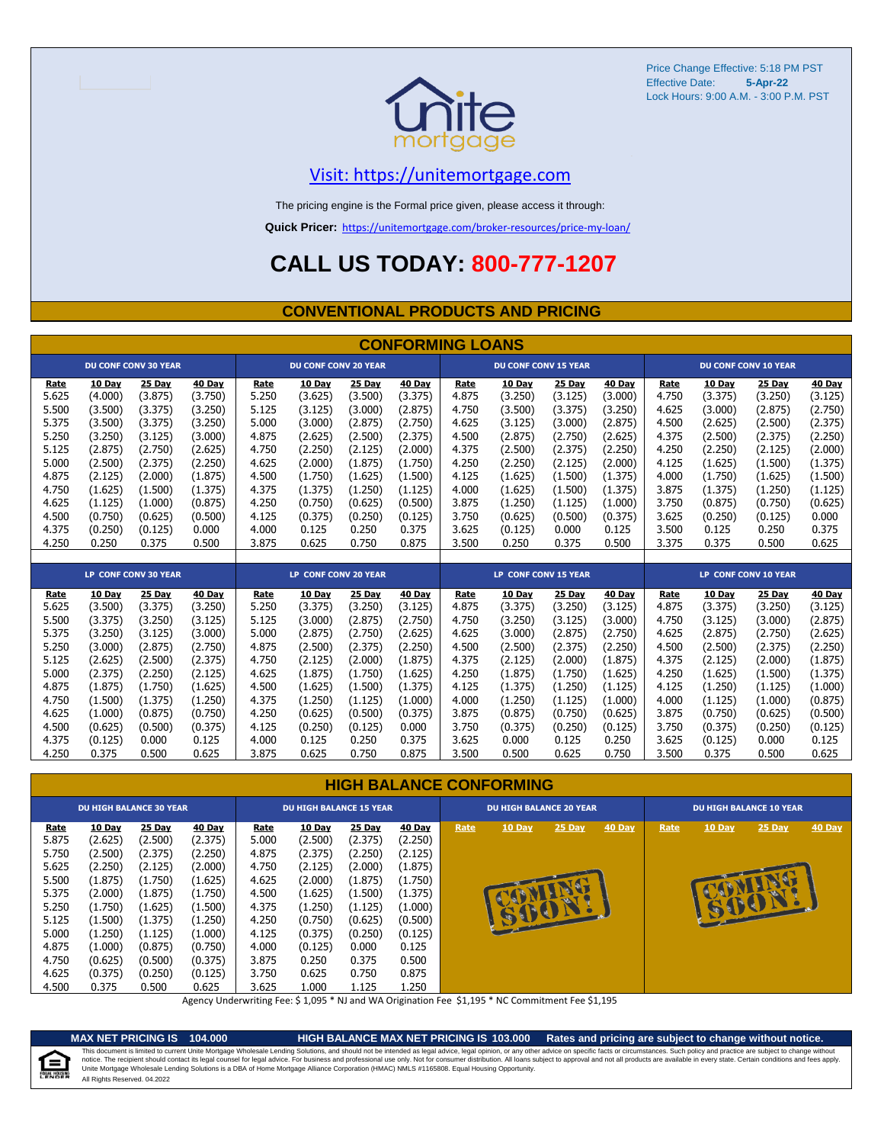

## [V](https://unitemortgage.com/)isit: https://unitemortgage.com

The pricing engine is the Formal price given, please access it through:

**Quick Pricer:** [https://un](https://unitemortgage.com/broker-resources/price-my-loan/)itemortgage.com/broker-resources/price-my-loan/

## **CALL US TODAY: 800-777-1207**

### **CONVENTIONAL PRODUCTS AND PRICING**

|       | <b>CONFORMING LOANS</b> |                             |         |                      |                             |         |                             |             |                             |               |         |       |                      |                             |               |
|-------|-------------------------|-----------------------------|---------|----------------------|-----------------------------|---------|-----------------------------|-------------|-----------------------------|---------------|---------|-------|----------------------|-----------------------------|---------------|
|       |                         | <b>DU CONF CONV 30 YEAR</b> |         |                      | <b>DU CONF CONV 20 YEAR</b> |         |                             |             | <b>DU CONF CONV 15 YEAR</b> |               |         |       |                      | <b>DU CONF CONV 10 YEAR</b> |               |
| Rate  | 10 Day                  | 25 Day                      | 40 Day  | Rate                 | 10 Day                      | 25 Day  | <b>40 Day</b>               | Rate        | 10 Day                      | <b>25 Day</b> | 40 Day  | Rate  | <b>10 Day</b>        | 25 Day                      | <b>40 Day</b> |
| 5.625 | (4.000)                 | (3.875)                     | (3.750) | 5.250                | (3.625)                     | (3.500) | (3.375)                     | 4.875       | (3.250)                     | (3.125)       | (3.000) | 4.750 | (3.375)              | (3.250)                     | (3.125)       |
| 5.500 | (3.500)                 | (3.375)                     | (3.250) | 5.125                | (3.125)                     | (3.000) | (2.875)                     | 4.750       | (3.500)                     | (3.375)       | (3.250) | 4.625 | (3.000)              | (2.875)                     | (2.750)       |
| 5.375 | (3.500)                 | (3.375)                     | (3.250) | 5.000                | (3.000)                     | (2.875) | (2.750)                     | 4.625       | (3.125)                     | (3.000)       | (2.875) | 4.500 | (2.625)              | (2.500)                     | (2.375)       |
| 5.250 | (3.250)                 | (3.125)                     | (3.000) | 4.875                | (2.625)                     | (2.500) | (2.375)                     | 4.500       | (2.875)                     | (2.750)       | (2.625) | 4.375 | (2.500)              | (2.375)                     | (2.250)       |
| 5.125 | (2.875)                 | (2.750)                     | (2.625) | 4.750                | (2.250)                     | (2.125) | (2.000)                     | 4.375       | (2.500)                     | (2.375)       | (2.250) | 4.250 | (2.250)              | (2.125)                     | (2.000)       |
| 5.000 | (2.500)                 | (2.375)                     | (2.250) | 4.625                | (2.000)                     | (1.875) | (1.750)                     | 4.250       | (2.250)                     | (2.125)       | (2.000) | 4.125 | (1.625)              | (1.500)                     | (1.375)       |
| 4.875 | (2.125)                 | (2.000)                     | (1.875) | 4.500                | (1.750)                     | (1.625) | (1.500)                     | 4.125       | (1.625)                     | (1.500)       | (1.375) | 4.000 | (1.750)              | (1.625)                     | (1.500)       |
| 4.750 | (1.625)                 | (1.500)                     | (1.375) | 4.375                | (1.375)                     | (1.250) | (1.125)                     | 4.000       | (1.625)                     | (1.500)       | (1.375) | 3.875 | (1.375)              | (1.250)                     | (1.125)       |
| 4.625 | (1.125)                 | (1.000)                     | (0.875) | 4.250                | (0.750)                     | (0.625) | (0.500)                     | 3.875       | (1.250)                     | (1.125)       | (1.000) | 3.750 | (0.875)              | (0.750)                     | (0.625)       |
| 4.500 | (0.750)                 | (0.625)                     | (0.500) | 4.125                | (0.375)                     | (0.250) | (0.125)                     | 3.750       | (0.625)                     | (0.500)       | (0.375) | 3.625 | (0.250)              | (0.125)                     | 0.000         |
| 4.375 | (0.250)                 | (0.125)                     | 0.000   | 4.000                | 0.125                       | 0.250   | 0.375                       | 3.625       | (0.125)                     | 0.000         | 0.125   | 3.500 | 0.125                | 0.250                       | 0.375         |
| 4.250 | 0.250                   | 0.375                       | 0.500   | 3.875                | 0.625                       | 0.750   | 0.875                       | 3.500       | 0.250                       | 0.375         | 0.500   | 3.375 | 0.375                | 0.500                       | 0.625         |
|       |                         |                             |         |                      |                             |         |                             |             |                             |               |         |       |                      |                             |               |
|       |                         | <b>LP CONF CONV 30 YEAR</b> |         | LP CONF CONV 20 YEAR |                             |         | <b>LP CONF CONV 15 YEAR</b> |             |                             |               |         |       | LP CONF CONV 10 YEAR |                             |               |
| Rate  | 10 Day                  | 25 Day                      | 40 Day  | Rate                 | 10 Day                      | 25 Day  | 40 Day                      | <b>Rate</b> | 10 Day                      | 25 Day        | 40 Day  | Rate  | <b>10 Day</b>        | 25 Day                      | <b>40 Day</b> |
| 5.625 | (3.500)                 | (3.375)                     | (3.250) | 5.250                | (3.375)                     | (3.250) | (3.125)                     | 4.875       | (3.375)                     | (3.250)       | (3.125) | 4.875 | (3.375)              | (3.250)                     | (3.125)       |
| 5.500 | (3.375)                 | (3.250)                     | (3.125) | 5.125                | (3.000)                     | (2.875) | (2.750)                     | 4.750       | (3.250)                     | (3.125)       | (3.000) | 4.750 | (3.125)              | (3.000)                     | (2.875)       |
| 5.375 | (3.250)                 | (3.125)                     | (3.000) | 5.000                | (2.875)                     | (2.750) | (2.625)                     | 4.625       | (3.000)                     | (2.875)       | (2.750) | 4.625 | (2.875)              | (2.750)                     | (2.625)       |
| 5.250 | (3.000)                 | (2.875)                     | (2.750) | 4.875                | (2.500)                     | (2.375) | (2.250)                     | 4.500       | (2.500)                     | (2.375)       | (2.250) | 4.500 | (2.500)              | (2.375)                     | (2.250)       |
| 5.125 | (2.625)                 | (2.500)                     | (2.375) | 4.750                | (2.125)                     | (2.000) | (1.875)                     | 4.375       | (2.125)                     | (2.000)       | (1.875) | 4.375 | (2.125)              | (2.000)                     | (1.875)       |
| 5.000 | (2.375)                 | (2.250)                     | (2.125) | 4.625                | (1.875)                     | (1.750) | (1.625)                     | 4.250       | (1.875)                     | (1.750)       | (1.625) | 4.250 | (1.625)              | (1.500)                     | (1.375)       |
| 4.875 | (1.875)                 | (1.750)                     | (1.625) | 4.500                | (1.625)                     | (1.500) | (1.375)                     | 4.125       | (1.375)                     | (1.250)       | (1.125) | 4.125 | (1.250)              | (1.125)                     | (1.000)       |
| 4.750 | (1.500)                 | (1.375)                     | (1.250) | 4.375                | (1.250)                     | (1.125) | (1.000)                     | 4.000       | (1.250)                     | (1.125)       | (1.000) | 4.000 | (1.125)              | (1.000)                     | (0.875)       |
| 4.625 | (1.000)                 | (0.875)                     | (0.750) | 4.250                | (0.625)                     | (0.500) | (0.375)                     | 3.875       | (0.875)                     | (0.750)       | (0.625) | 3.875 | (0.750)              | (0.625)                     | (0.500)       |
| 4.500 | (0.625)                 | (0.500)                     | (0.375) | 4.125                | (0.250)                     | (0.125) | 0.000                       | 3.750       | (0.375)                     | (0.250)       | (0.125) | 3.750 | (0.375)              | (0.250)                     | (0.125)       |
| 4.375 | (0.125)                 | 0.000                       | 0.125   | 4.000                | 0.125                       | 0.250   | 0.375                       | 3.625       | 0.000                       | 0.125         | 0.250   | 3.625 | (0.125)              | 0.000                       | 0.125         |
| 4.250 | 0.375                   | 0.500                       | 0.625   | 3.875                | 0.625                       | 0.750   | 0.875                       | 3.500       | 0.500                       | 0.625         | 0.750   | 3.500 | 0.375                | 0.500                       | 0.625         |

### **HIGH BALANCE CONFORMING**

|             | <b>DU HIGH BALANCE 30 YEAR</b> |         |         | <b>DU HIGH BALANCE 15 YEAR</b> |               |         |               |      | <b>DU HIGH BALANCE 20 YEAR</b> |          |        | <b>DU HIGH BALANCE 10 YEAR</b> |          |          |               |  |
|-------------|--------------------------------|---------|---------|--------------------------------|---------------|---------|---------------|------|--------------------------------|----------|--------|--------------------------------|----------|----------|---------------|--|
| <u>Rate</u> | <b>10 Day</b>                  | 25 Day  | 40 Day  | Rate                           | <b>10 Day</b> | 25 Day  | <b>40 Day</b> | Rate | <b>10 Day</b>                  | $25$ Day | 40 Day | Rate                           | $10$ Day | $25$ Day | <b>40 Day</b> |  |
| 5.875       | (2.625)                        | (2.500) | (2.375) | 5.000                          | (2.500)       | (2.375) | (2.250)       |      |                                |          |        |                                |          |          |               |  |
| 5.750       | (2.500)                        | (2.375) | (2.250) | 4.875                          | (2.375)       | (2.250) | (2.125)       |      |                                |          |        |                                |          |          |               |  |
| 5.625       | (2.250)                        | (2.125) | (2.000) | 4.750                          | (2.125)       | (2.000) | (1.875)       |      |                                |          |        |                                |          |          |               |  |
| 5.500       | (1.875)                        | (1.750) | (1.625) | 4.625                          | (2.000)       | (1.875) | (1.750)       |      |                                |          |        |                                |          |          |               |  |
| 5.375       | (2.000)                        | (1.875) | (1.750) | 4.500                          | (1.625)       | (1.500) | (1.375)       |      |                                |          |        |                                |          |          |               |  |
| 5.250       | (1.750)                        | (1.625) | (1.500) | 4.375                          | (1.250)       | (1.125) | (1.000)       |      |                                |          |        |                                | B        |          |               |  |
| 5.125       | (1.500)                        | (1.375) | (1.250) | 4.250                          | (0.750)       | (0.625) | (0.500)       |      |                                |          |        |                                |          |          |               |  |
| 5.000       | (1.250)                        | (1.125) | (1.000) | 4.125                          | (0.375)       | (0.250) | (0.125)       |      |                                |          |        |                                |          |          |               |  |
| 4.875       | (1.000)                        | (0.875) | (0.750) | 4.000                          | (0.125)       | 0.000   | 0.125         |      |                                |          |        |                                |          |          |               |  |
| 4.750       | (0.625)                        | (0.500) | (0.375) | 3.875                          | 0.250         | 0.375   | 0.500         |      |                                |          |        |                                |          |          |               |  |
| 4.625       | (0.375)                        | (0.250) | (0.125) | 3.750                          | 0.625         | 0.750   | 0.875         |      |                                |          |        |                                |          |          |               |  |
| 4.500       | 0.375                          | 0.500   | 0.625   | 3.625                          | 1.000         | 1.125   | 1.250         |      |                                |          |        |                                |          |          |               |  |

Agency Underwriting Fee: \$ 1,095 \* NJ and WA Origination Fee \$1,195 \* NC Commitment Fee \$1,195

e

**MAX NET PRICING IS 104.000 HIGH BALANCE MAX NET PRICING IS 103.000 Rates and pricing are subject to change without notice.** All Rights Reserved. 04.2022 This document is limited to current Unite Mortgage Wholesale Lending Solutions, and should not be intended as legal advice, legal opinion, or any other advice on specific facts or circumstances. Such policy and practice ar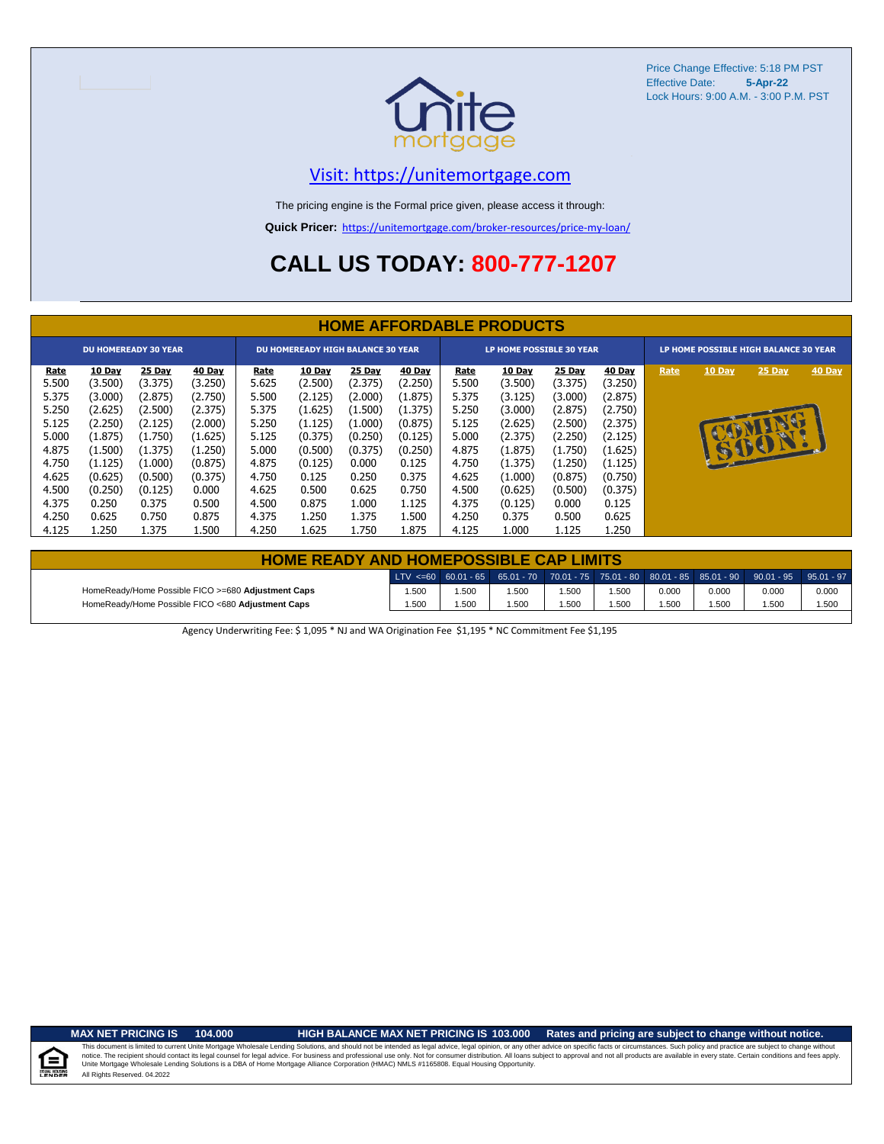

## [V](https://unitemortgage.com/)isit: https://unitemortgage.com

The pricing engine is the Formal price given, please access it through:

**Quick Pricer:** [https://un](https://unitemortgage.com/broker-resources/price-my-loan/)itemortgage.com/broker-resources/price-my-loan/

## **CALL US TODAY: 800-777-1207**

|                      | <b>HOME AFFORDABLE PRODUCTS</b> |                             |                   |                                          |                          |                   |                          |                                 |                   |                          |                          |                                       |        |        |        |
|----------------------|---------------------------------|-----------------------------|-------------------|------------------------------------------|--------------------------|-------------------|--------------------------|---------------------------------|-------------------|--------------------------|--------------------------|---------------------------------------|--------|--------|--------|
|                      |                                 | <b>DU HOMEREADY 30 YEAR</b> |                   | <b>DU HOMEREADY HIGH BALANCE 30 YEAR</b> |                          |                   |                          | <b>LP HOME POSSIBLE 30 YEAR</b> |                   |                          |                          | LP HOME POSSIBLE HIGH BALANCE 30 YEAR |        |        |        |
| <u>Rate</u><br>5.500 | 10 Day<br>(3.500)               | <b>25 Day</b><br>(3.375)    | 40 Day<br>(3.250) | Rate<br>5.625                            | <b>10 Day</b><br>(2.500) | 25 Day<br>(2.375) | <b>40 Day</b><br>(2.250) | Rate<br>5.500                   | 10 Day<br>(3.500) | <b>25 Day</b><br>(3.375) | <b>40 Day</b><br>(3.250) | Rate                                  | 10 Day | 25 Day | 40 Day |
| 5.375                | (3.000)                         | (2.875)                     | (2.750)           | 5.500                                    | (2.125)                  | (2.000)           | (1.875)                  | 5.375                           | (3.125)           | (3.000)                  | (2.875)                  |                                       |        |        |        |
| 5.250                | (2.625)                         | (2.500)                     | (2.375)           | 5.375                                    | (1.625)                  | (1.500)           | (1.375)                  | 5.250                           | (3.000)           | (2.875)                  | (2.750)                  |                                       |        |        |        |
| 5.125                | (2.250)                         | (2.125)                     | (2.000)           | 5.250                                    | (1.125)                  | (1.000)           | (0.875)                  | 5.125                           | (2.625)           | (2.500)                  | (2.375)                  |                                       |        |        |        |
| 5.000                | (1.875)                         | (1.750)                     | (1.625)           | 5.125                                    | (0.375)                  | (0.250)           | (0.125)                  | 5.000                           | (2.375)           | (2.250)                  | (2.125)                  |                                       |        |        |        |
| 4.875                | (1.500)                         | (1.375)                     | (1.250)           | 5.000                                    | (0.500)                  | (0.375)           | (0.250)                  | 4.875                           | (1.875)           | (1.750)                  | (1.625)                  |                                       |        | SION   |        |
| 4.750                | (1.125)                         | (1.000)                     | (0.875)           | 4.875                                    | (0.125)                  | 0.000             | 0.125                    | 4.750                           | (1.375)           | (1.250)                  | (1.125)                  |                                       |        |        |        |
| 4.625                | (0.625)                         | (0.500)                     | (0.375)           | 4.750                                    | 0.125                    | 0.250             | 0.375                    | 4.625                           | (1.000)           | (0.875)                  | (0.750)                  |                                       |        |        |        |
| 4.500                | (0.250)                         | (0.125)                     | 0.000             | 4.625                                    | 0.500                    | 0.625             | 0.750                    | 4.500                           | (0.625)           | (0.500)                  | (0.375)                  |                                       |        |        |        |
| 4.375                | 0.250                           | 0.375                       | 0.500             | 4.500                                    | 0.875                    | 1.000             | 1.125                    | 4.375                           | (0.125)           | 0.000                    | 0.125                    |                                       |        |        |        |
| 4.250                | 0.625                           | 0.750                       | 0.875             | 4.375                                    | 1.250                    | 1.375             | 1.500                    | 4.250                           | 0.375             | 0.500                    | 0.625                    |                                       |        |        |        |
| 4.125                | 1.250                           | 1.375                       | 1.500             | 4.250                                    | 1.625                    | 1.750             | 1.875                    | 4.125                           | 1.000             | 1.125                    | 1.250                    |                                       |        |        |        |

| <b>HOME READY AND HOMEPOSSIBLE CAP LIMITS</b>      |       |      |       |      |       |       |       |                                                                                                  |       |  |  |  |
|----------------------------------------------------|-------|------|-------|------|-------|-------|-------|--------------------------------------------------------------------------------------------------|-------|--|--|--|
|                                                    |       |      |       |      |       |       |       | LTV <=60 60.01 - 65 65.01 - 70 70.01 - 75 75.01 - 80 80.01 - 85 85.01 - 90 90.01 - 95 95.01 - 97 |       |  |  |  |
| HomeReady/Home Possible FICO >=680 Adjustment Caps | 1.500 | .500 | 1.500 | .500 | .500  | 0.000 | 0.000 | 0.000                                                                                            | 0.000 |  |  |  |
| HomeReady/Home Possible FICO <680 Adjustment Caps  | 1.500 | .500 | 1.500 | .500 | 500،، | .500  | 1.500 | 1.500                                                                                            | 1.500 |  |  |  |

Agency Underwriting Fee: \$ 1,095 \* NJ and WA Origination Fee \$1,195 \* NC Commitment Fee \$1,195

 $\equiv$ 

**MAX NET PRICING IS 104.000 HIGH BALANCE MAX NET PRICING IS 103.000 Rates and pricing are subject to change without notice.**

All Rights Reserved. 04.2022 This document is limited to current Unite Mortgage Wholesale Lending Solutions, and should not be intended as legal advice, legal opinion, or any other advice on specific facts or circumstances. Such policy and practice ar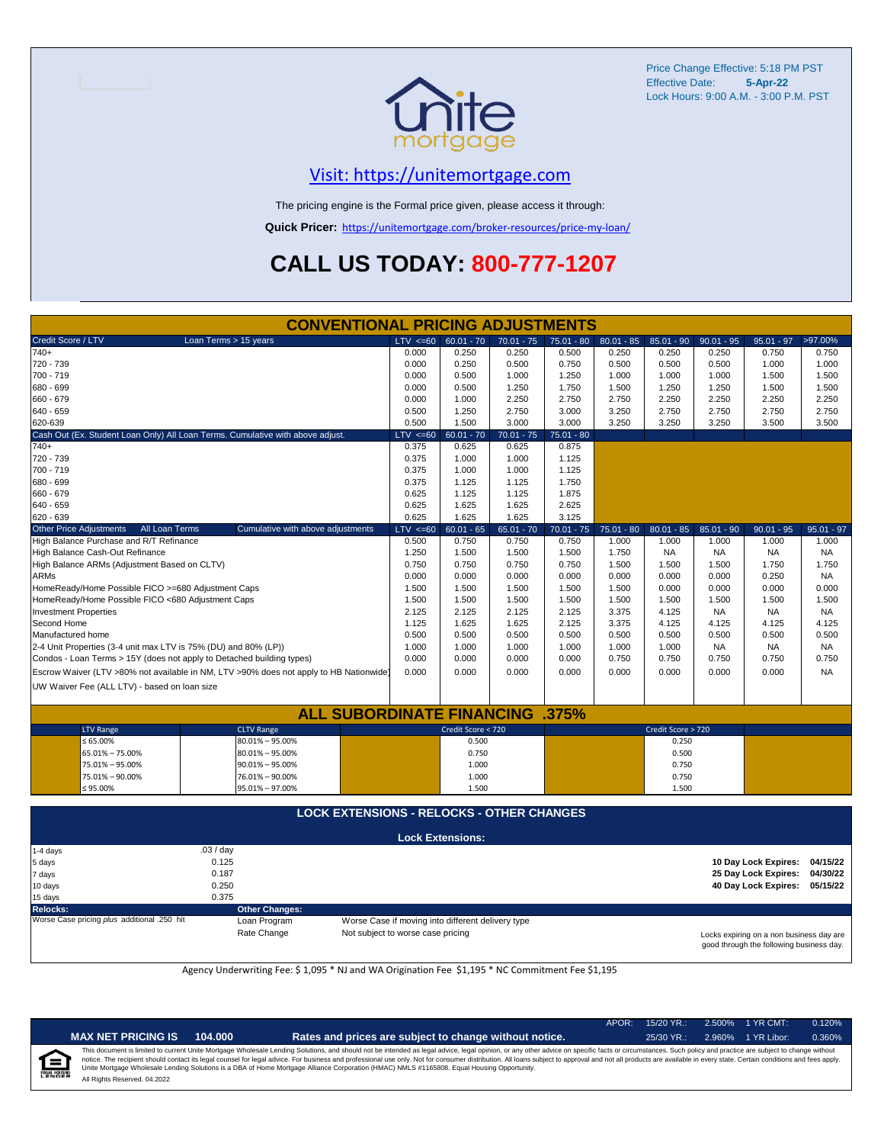

## [V](https://unitemortgage.com/)isit: https://unitemortgage.com

The pricing engine is the Formal price given, please access it through:

**Quick Pricer:** [https://un](https://unitemortgage.com/broker-resources/price-my-loan/)itemortgage.com/broker-resources/price-my-loan/

## **CALL US TODAY: 800-777-1207**

| <b>CONVENTIONAL PRICING ADJUSTMENTS</b>                                        |                       |                                                                                        |             |                         |              |              |              |                      |              |                      |              |
|--------------------------------------------------------------------------------|-----------------------|----------------------------------------------------------------------------------------|-------------|-------------------------|--------------|--------------|--------------|----------------------|--------------|----------------------|--------------|
| Credit Score / LTV                                                             | Loan Terms > 15 years |                                                                                        | LTV < 60    | $60.01 - 70$            | $70.01 - 75$ | $75.01 - 80$ | $80.01 - 85$ | $85.01 - 90$         | $90.01 - 95$ | $95.01 - 97$         | >97.00%      |
| $740+$                                                                         |                       |                                                                                        | 0.000       | 0.250                   | 0.250        | 0.500        | 0.250        | 0.250                | 0.250        | 0.750                | 0.750        |
| 720 - 739                                                                      |                       |                                                                                        | 0.000       | 0.250                   | 0.500        | 0.750        | 0.500        | 0.500                | 0.500        | 1.000                | 1.000        |
| 700 - 719                                                                      |                       |                                                                                        | 0.000       | 0.500                   | 1.000        | 1.250        | 1.000        | 1.000                | 1.000        | 1.500                | 1.500        |
| 680 - 699                                                                      |                       |                                                                                        | 0.000       | 0.500                   | 1.250        | 1.750        | 1.500        | 1.250                | 1.250        | 1.500                | 1.500        |
| 660 - 679                                                                      |                       |                                                                                        | 0.000       | 1.000                   | 2.250        | 2.750        | 2.750        | 2.250                | 2.250        | 2.250                | 2.250        |
| 640 - 659                                                                      |                       |                                                                                        | 0.500       | 1.250                   | 2.750        | 3.000        | 3.250        | 2.750                | 2.750        | 2.750                | 2.750        |
| 620-639                                                                        |                       |                                                                                        | 0.500       | 1.500                   | 3.000        | 3.000        | 3.250        | 3.250                | 3.250        | 3.500                | 3.500        |
| Cash Out (Ex. Student Loan Only) All Loan Terms. Cumulative with above adjust. |                       |                                                                                        | LTV < 60    | $60.01 - 70$            | $70.01 - 75$ | $75.01 - 80$ |              |                      |              |                      |              |
| $740+$                                                                         |                       |                                                                                        | 0.375       | 0.625                   | 0.625        | 0.875        |              |                      |              |                      |              |
| 720 - 739                                                                      |                       |                                                                                        | 0.375       | 1.000                   | 1.000        | 1.125        |              |                      |              |                      |              |
| 700 - 719                                                                      |                       |                                                                                        | 0.375       | 1.000                   | 1.000        | 1.125        |              |                      |              |                      |              |
| 680 - 699                                                                      |                       |                                                                                        | 0.375       | 1.125                   | 1.125        | 1.750        |              |                      |              |                      |              |
| 660 - 679                                                                      |                       |                                                                                        | 0.625       | 1.125                   | 1.125        | 1.875        |              |                      |              |                      |              |
| 640 - 659                                                                      |                       |                                                                                        | 0.625       | 1.625                   | 1.625        | 2.625        |              |                      |              |                      |              |
| 620 - 639                                                                      |                       |                                                                                        | 0.625       | 1.625                   | 1.625        | 3.125        |              |                      |              |                      |              |
| <b>Other Price Adjustments</b>                                                 | All Loan Terms        | Cumulative with above adjustments                                                      | $LTV < =60$ | $60.01 - 65$            | $65.01 - 70$ | $70.01 - 75$ | $75.01 - 80$ | $80.01 - 85$         | $85.01 - 90$ | $90.01 - 95$         | $95.01 - 97$ |
| High Balance Purchase and R/T Refinance                                        |                       |                                                                                        | 0.500       | 0.750                   | 0.750        | 0.750        | 1.000        | 1.000                | 1.000        | 1.000                | 1.000        |
| High Balance Cash-Out Refinance                                                |                       |                                                                                        | 1.250       | 1.500                   | 1.500        | 1.500        | 1.750        | <b>NA</b>            | <b>NA</b>    | NA                   | <b>NA</b>    |
| High Balance ARMs (Adjustment Based on CLTV)                                   |                       |                                                                                        | 0.750       | 0.750                   | 0.750        | 0.750        | 1.500        | 1.500                | 1.500        | 1.750                | 1.750        |
| <b>ARMs</b>                                                                    |                       |                                                                                        | 0.000       | 0.000                   | 0.000        | 0.000        | 0.000        | 0.000                | 0.000        | 0.250                | <b>NA</b>    |
| HomeReady/Home Possible FICO >=680 Adjustment Caps                             |                       |                                                                                        | 1.500       | 1.500                   | 1.500        | 1.500        | 1.500        | 0.000                | 0.000        | 0.000                | 0.000        |
| HomeReady/Home Possible FICO <680 Adjustment Caps                              |                       |                                                                                        | 1.500       | 1.500                   | 1.500        | 1.500        | 1.500        | 1.500                | 1.500        | 1.500                | 1.500        |
| <b>Investment Properties</b>                                                   |                       |                                                                                        | 2.125       | 2.125                   | 2.125        | 2.125        | 3.375        | 4.125                | <b>NA</b>    | <b>NA</b>            | NA.          |
| Second Home                                                                    |                       |                                                                                        | 1.125       | 1.625                   | 1.625        | 2.125        | 3.375        | 4.125                | 4.125        | 4.125                | 4.125        |
| Manufactured home                                                              |                       |                                                                                        | 0.500       | 0.500                   | 0.500        | 0.500        | 0.500        | 0.500                | 0.500        | 0.500                | 0.500        |
| 2-4 Unit Properties (3-4 unit max LTV is 75% (DU) and 80% (LP))                |                       |                                                                                        | 1.000       | 1.000                   | 1.000        | 1.000        | 1.000        | 1.000                | NA.          | <b>NA</b>            | NA.          |
| Condos - Loan Terms > 15Y (does not apply to Detached building types)          |                       |                                                                                        | 0.000       | 0.000                   | 0.000        | 0.000        | 0.750        | 0.750                | 0.750        | 0.750                | 0.750        |
|                                                                                |                       | Escrow Waiver (LTV >80% not available in NM, LTV >90% does not apply to HB Nationwide) | 0.000       | 0.000                   | 0.000        | 0.000        | 0.000        | 0.000                | 0.000        | 0.000                | <b>NA</b>    |
|                                                                                |                       |                                                                                        |             |                         |              |              |              |                      |              |                      |              |
| UW Waiver Fee (ALL LTV) - based on loan size                                   |                       |                                                                                        |             |                         |              |              |              |                      |              |                      |              |
|                                                                                |                       | <b>ALL SUBORDINATE FINANCING</b>                                                       |             |                         |              | .375%        |              |                      |              |                      |              |
| <b>LTV Range</b>                                                               |                       | <b>CLTV Range</b>                                                                      |             | Credit Score < 720      |              |              |              | Credit Score > 720   |              |                      |              |
| $\leq 65.00\%$                                                                 |                       | $80.01\% - 95.00\%$                                                                    |             | 0.500                   |              |              |              | 0.250                |              |                      |              |
| 65.01% - 75.00%                                                                |                       | $80.01\% - 95.00\%$                                                                    |             | 0.750                   |              |              |              | 0.500                |              |                      |              |
| 75.01% - 95.00%                                                                |                       | $90.01\% - 95.00\%$                                                                    |             | 1.000                   |              |              |              | 0.750                |              |                      |              |
| 75.01% - 90.00%                                                                |                       | 76.01% - 90.00%                                                                        |             | 1.000                   |              |              |              | 0.750                |              |                      |              |
| $\leq 95.00\%$                                                                 |                       | 95.01% - 97.00%                                                                        |             | 1.500                   |              |              |              | 1.500                |              |                      |              |
|                                                                                |                       |                                                                                        |             |                         |              |              |              |                      |              |                      |              |
|                                                                                |                       | <b>LOCK EXTENSIONS - RELOCKS - OTHER CHANGES</b>                                       |             |                         |              |              |              |                      |              |                      |              |
|                                                                                |                       |                                                                                        |             | <b>Lock Extensions:</b> |              |              |              |                      |              |                      |              |
| 1-4 days                                                                       | .03 / day             |                                                                                        |             |                         |              |              |              |                      |              |                      |              |
| 5 days                                                                         |                       |                                                                                        |             |                         |              |              |              | 10 Day Lock Expires: | 04/15/22     |                      |              |
| 7 days                                                                         |                       |                                                                                        |             |                         |              |              |              | 25 Day Lock Expires: | 04/30/22     |                      |              |
| 10 days                                                                        | 0.250                 |                                                                                        |             |                         |              |              |              |                      |              | 40 Day Lock Expires: | 05/15/22     |
| 15 days                                                                        | 0.375                 |                                                                                        |             |                         |              |              |              |                      |              |                      |              |

**Relocks: Other Changes:**

Loan Program *plus* Worse Case if moving into different delivery type Rate Change Mot subject to worse case pricing

Locks expiring on a non business day are good through the following business day.

Agency Underwriting Fee: \$ 1,095 \* NJ and WA Origination Fee \$1,195 \* NC Commitment Fee \$1,195

| NDE<br>Ì |  |
|----------|--|
|          |  |

| <b>NET PRICING IS</b> | 104.000 |
|-----------------------|---------|
|-----------------------|---------|

APOR: 15/20 YR.: 2.500% 1 YR CMT: 0.120%

**MAX NET PRICING IS 104.000 Rates and prices are subject to change without notice.** 25/30 YR.: 2.960% 1 YR Libor: 0.360% All Rights Reserved. 04.2022 This document is limited to current Unite Mortgage Wholesale Lending Solutions, and should not be intended as legal advice, legal opinion, or any other advice on specific facts or circumstances. Such policy and practice ar